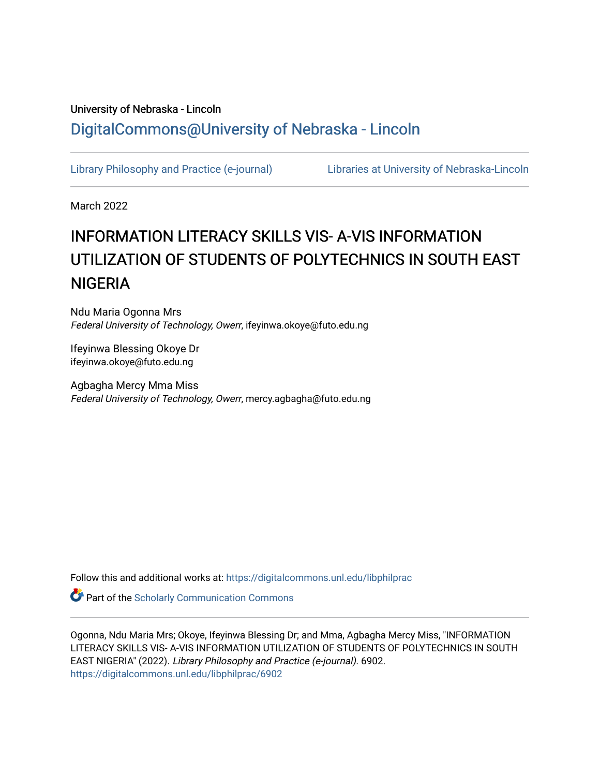# University of Nebraska - Lincoln [DigitalCommons@University of Nebraska - Lincoln](https://digitalcommons.unl.edu/)

[Library Philosophy and Practice \(e-journal\)](https://digitalcommons.unl.edu/libphilprac) [Libraries at University of Nebraska-Lincoln](https://digitalcommons.unl.edu/libraries) 

March 2022

# INFORMATION LITERACY SKILLS VIS- A-VIS INFORMATION UTILIZATION OF STUDENTS OF POLYTECHNICS IN SOUTH EAST **NIGERIA**

Ndu Maria Ogonna Mrs Federal University of Technology, Owerr, ifeyinwa.okoye@futo.edu.ng

Ifeyinwa Blessing Okoye Dr ifeyinwa.okoye@futo.edu.ng

Agbagha Mercy Mma Miss Federal University of Technology, Owerr, mercy.agbagha@futo.edu.ng

Follow this and additional works at: [https://digitalcommons.unl.edu/libphilprac](https://digitalcommons.unl.edu/libphilprac?utm_source=digitalcommons.unl.edu%2Flibphilprac%2F6902&utm_medium=PDF&utm_campaign=PDFCoverPages) 

**Part of the Scholarly Communication Commons** 

Ogonna, Ndu Maria Mrs; Okoye, Ifeyinwa Blessing Dr; and Mma, Agbagha Mercy Miss, "INFORMATION LITERACY SKILLS VIS- A-VIS INFORMATION UTILIZATION OF STUDENTS OF POLYTECHNICS IN SOUTH EAST NIGERIA" (2022). Library Philosophy and Practice (e-journal). 6902. [https://digitalcommons.unl.edu/libphilprac/6902](https://digitalcommons.unl.edu/libphilprac/6902?utm_source=digitalcommons.unl.edu%2Flibphilprac%2F6902&utm_medium=PDF&utm_campaign=PDFCoverPages)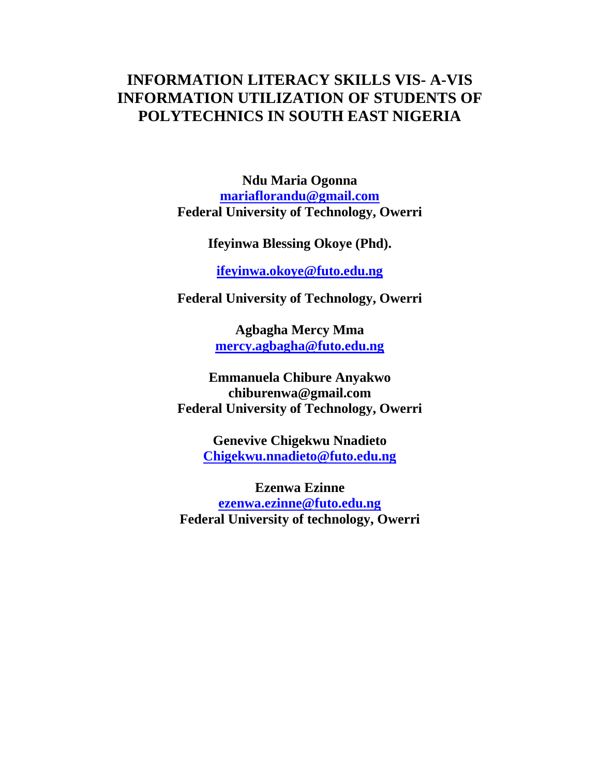# **INFORMATION LITERACY SKILLS VIS- A-VIS INFORMATION UTILIZATION OF STUDENTS OF POLYTECHNICS IN SOUTH EAST NIGERIA**

**Ndu Maria Ogonna [mariaflorandu@gmail.com](mailto:mariaflorandu@gmail.com) Federal University of Technology, Owerri**

**Ifeyinwa Blessing Okoye (Phd).**

**[ifeyinwa.okoye@f](mailto:ifykam@yahoo.com)uto.edu.ng**

**Federal University of Technology, Owerri**

**Agbagha Mercy Mma [mercy.agbagha@futo.edu.ng](mailto:mercy.agbagha@futo.edu.ng)** 

**Emmanuela Chibure Anyakwo [chiburenwa@gmail.com](mailto:chiburenwa@gmail.com)  Federal University of Technology, Owerri**

> **Genevive Chigekwu Nnadieto [Chigekwu.nnadieto@futo.edu.ng](mailto:Chigekwu.nnadieto@futo.edu.ng)**

**Ezenwa Ezinne [ezenwa.ezinne@futo.edu.ng](mailto:ezenwa.ezinne@futo.edu.ng)  Federal University of technology, Owerri**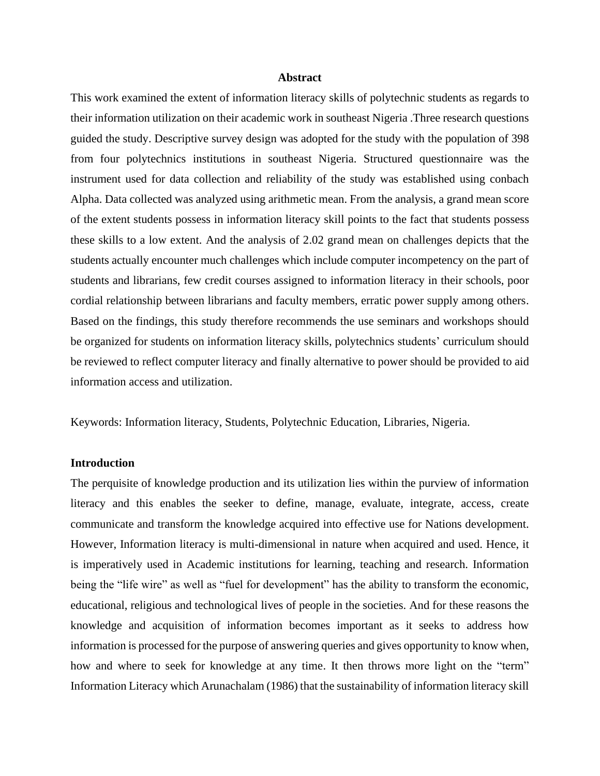#### **Abstract**

This work examined the extent of information literacy skills of polytechnic students as regards to their information utilization on their academic work in southeast Nigeria .Three research questions guided the study. Descriptive survey design was adopted for the study with the population of 398 from four polytechnics institutions in southeast Nigeria. Structured questionnaire was the instrument used for data collection and reliability of the study was established using conbach Alpha. Data collected was analyzed using arithmetic mean. From the analysis, a grand mean score of the extent students possess in information literacy skill points to the fact that students possess these skills to a low extent. And the analysis of 2.02 grand mean on challenges depicts that the students actually encounter much challenges which include computer incompetency on the part of students and librarians, few credit courses assigned to information literacy in their schools, poor cordial relationship between librarians and faculty members, erratic power supply among others. Based on the findings, this study therefore recommends the use seminars and workshops should be organized for students on information literacy skills, polytechnics students' curriculum should be reviewed to reflect computer literacy and finally alternative to power should be provided to aid information access and utilization.

Keywords: Information literacy, Students, Polytechnic Education, Libraries, Nigeria.

#### **Introduction**

The perquisite of knowledge production and its utilization lies within the purview of information literacy and this enables the seeker to define, manage, evaluate, integrate, access, create communicate and transform the knowledge acquired into effective use for Nations development. However, Information literacy is multi-dimensional in nature when acquired and used. Hence, it is imperatively used in Academic institutions for learning, teaching and research. Information being the "life wire" as well as "fuel for development" has the ability to transform the economic, educational, religious and technological lives of people in the societies. And for these reasons the knowledge and acquisition of information becomes important as it seeks to address how information is processed for the purpose of answering queries and gives opportunity to know when, how and where to seek for knowledge at any time. It then throws more light on the "term" Information Literacy which Arunachalam (1986) that the sustainability of information literacy skill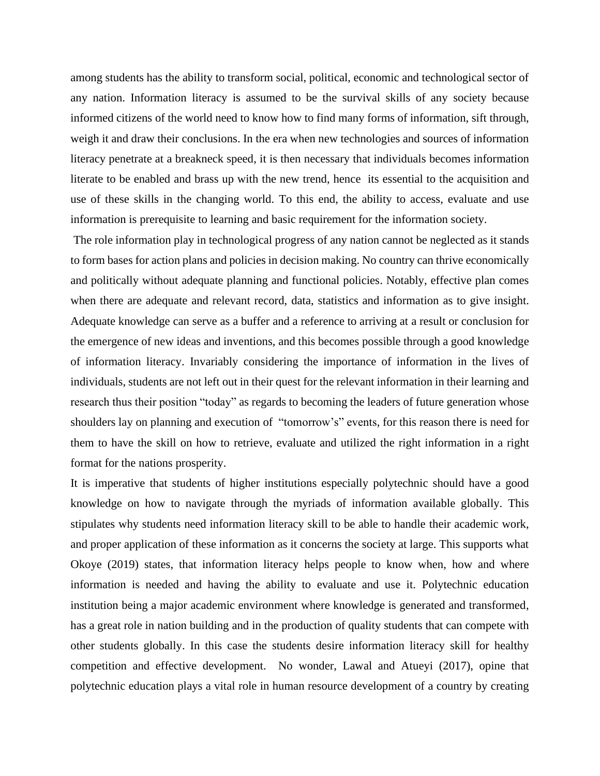among students has the ability to transform social, political, economic and technological sector of any nation. Information literacy is assumed to be the survival skills of any society because informed citizens of the world need to know how to find many forms of information, sift through, weigh it and draw their conclusions. In the era when new technologies and sources of information literacy penetrate at a breakneck speed, it is then necessary that individuals becomes information literate to be enabled and brass up with the new trend, hence its essential to the acquisition and use of these skills in the changing world. To this end, the ability to access, evaluate and use information is prerequisite to learning and basic requirement for the information society.

The role information play in technological progress of any nation cannot be neglected as it stands to form bases for action plans and policies in decision making. No country can thrive economically and politically without adequate planning and functional policies. Notably, effective plan comes when there are adequate and relevant record, data, statistics and information as to give insight. Adequate knowledge can serve as a buffer and a reference to arriving at a result or conclusion for the emergence of new ideas and inventions, and this becomes possible through a good knowledge of information literacy. Invariably considering the importance of information in the lives of individuals, students are not left out in their quest for the relevant information in their learning and research thus their position "today" as regards to becoming the leaders of future generation whose shoulders lay on planning and execution of "tomorrow's" events, for this reason there is need for them to have the skill on how to retrieve, evaluate and utilized the right information in a right format for the nations prosperity.

It is imperative that students of higher institutions especially polytechnic should have a good knowledge on how to navigate through the myriads of information available globally. This stipulates why students need information literacy skill to be able to handle their academic work, and proper application of these information as it concerns the society at large. This supports what Okoye (2019) states, that information literacy helps people to know when, how and where information is needed and having the ability to evaluate and use it. Polytechnic education institution being a major academic environment where knowledge is generated and transformed, has a great role in nation building and in the production of quality students that can compete with other students globally. In this case the students desire information literacy skill for healthy competition and effective development. No wonder, Lawal and Atueyi (2017), opine that polytechnic education plays a vital role in human resource development of a country by creating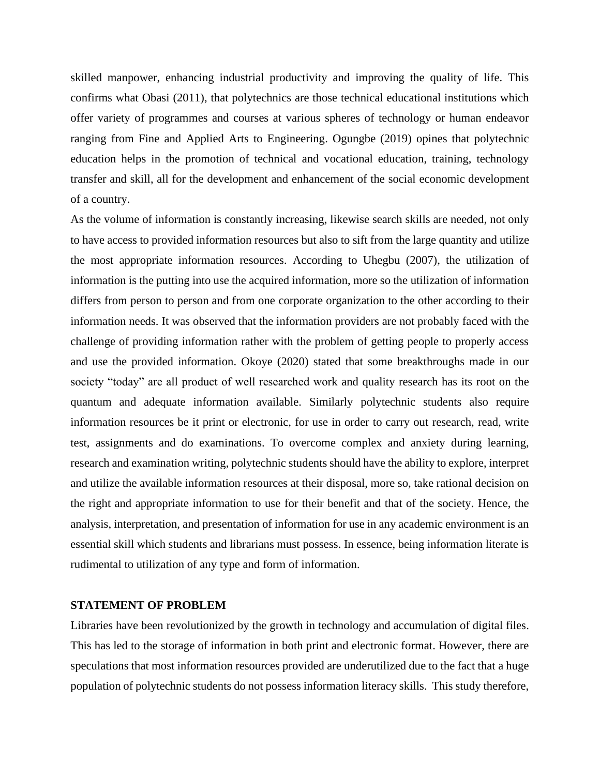skilled manpower, enhancing industrial productivity and improving the quality of life. This confirms what Obasi (2011), that polytechnics are those technical educational institutions which offer variety of programmes and courses at various spheres of technology or human endeavor ranging from Fine and Applied Arts to Engineering. Ogungbe (2019) opines that polytechnic education helps in the promotion of technical and vocational education, training, technology transfer and skill, all for the development and enhancement of the social economic development of a country.

As the volume of information is constantly increasing, likewise search skills are needed, not only to have access to provided information resources but also to sift from the large quantity and utilize the most appropriate information resources. According to Uhegbu (2007), the utilization of information is the putting into use the acquired information, more so the utilization of information differs from person to person and from one corporate organization to the other according to their information needs. It was observed that the information providers are not probably faced with the challenge of providing information rather with the problem of getting people to properly access and use the provided information. Okoye (2020) stated that some breakthroughs made in our society "today" are all product of well researched work and quality research has its root on the quantum and adequate information available. Similarly polytechnic students also require information resources be it print or electronic, for use in order to carry out research, read, write test, assignments and do examinations. To overcome complex and anxiety during learning, research and examination writing, polytechnic students should have the ability to explore, interpret and utilize the available information resources at their disposal, more so, take rational decision on the right and appropriate information to use for their benefit and that of the society. Hence, the analysis, interpretation, and presentation of information for use in any academic environment is an essential skill which students and librarians must possess. In essence, being information literate is rudimental to utilization of any type and form of information.

#### **STATEMENT OF PROBLEM**

Libraries have been revolutionized by the growth in technology and accumulation of digital files. This has led to the storage of information in both print and electronic format. However, there are speculations that most information resources provided are underutilized due to the fact that a huge population of polytechnic students do not possess information literacy skills. This study therefore,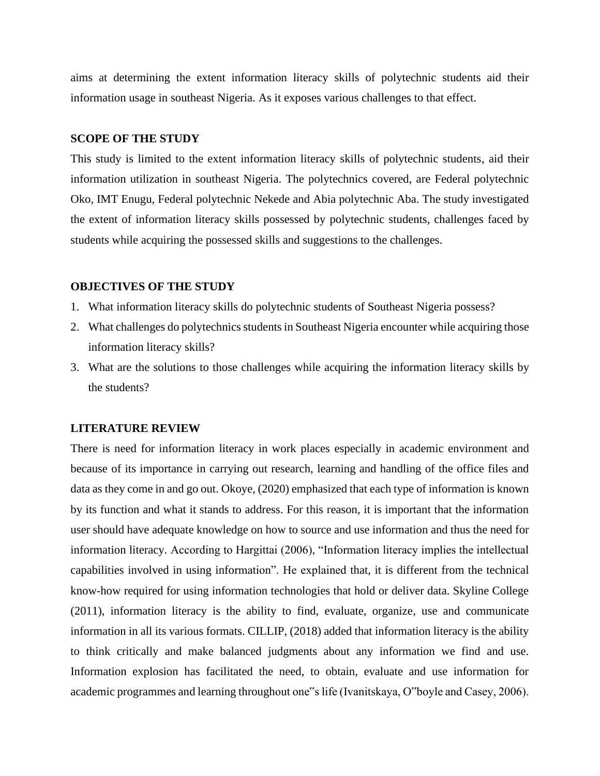aims at determining the extent information literacy skills of polytechnic students aid their information usage in southeast Nigeria. As it exposes various challenges to that effect.

#### **SCOPE OF THE STUDY**

This study is limited to the extent information literacy skills of polytechnic students, aid their information utilization in southeast Nigeria. The polytechnics covered, are Federal polytechnic Oko, IMT Enugu, Federal polytechnic Nekede and Abia polytechnic Aba. The study investigated the extent of information literacy skills possessed by polytechnic students, challenges faced by students while acquiring the possessed skills and suggestions to the challenges.

#### **OBJECTIVES OF THE STUDY**

- 1. What information literacy skills do polytechnic students of Southeast Nigeria possess?
- 2. What challenges do polytechnics students in Southeast Nigeria encounter while acquiring those information literacy skills?
- 3. What are the solutions to those challenges while acquiring the information literacy skills by the students?

#### **LITERATURE REVIEW**

There is need for information literacy in work places especially in academic environment and because of its importance in carrying out research, learning and handling of the office files and data as they come in and go out. Okoye, (2020) emphasized that each type of information is known by its function and what it stands to address. For this reason, it is important that the information user should have adequate knowledge on how to source and use information and thus the need for information literacy. According to Hargittai (2006), "Information literacy implies the intellectual capabilities involved in using information". He explained that, it is different from the technical know-how required for using information technologies that hold or deliver data. Skyline College (2011), information literacy is the ability to find, evaluate, organize, use and communicate information in all its various formats. CILLIP, (2018) added that information literacy is the ability to think critically and make balanced judgments about any information we find and use. Information explosion has facilitated the need, to obtain, evaluate and use information for academic programmes and learning throughout one"s life (Ivanitskaya, O"boyle and Casey, 2006).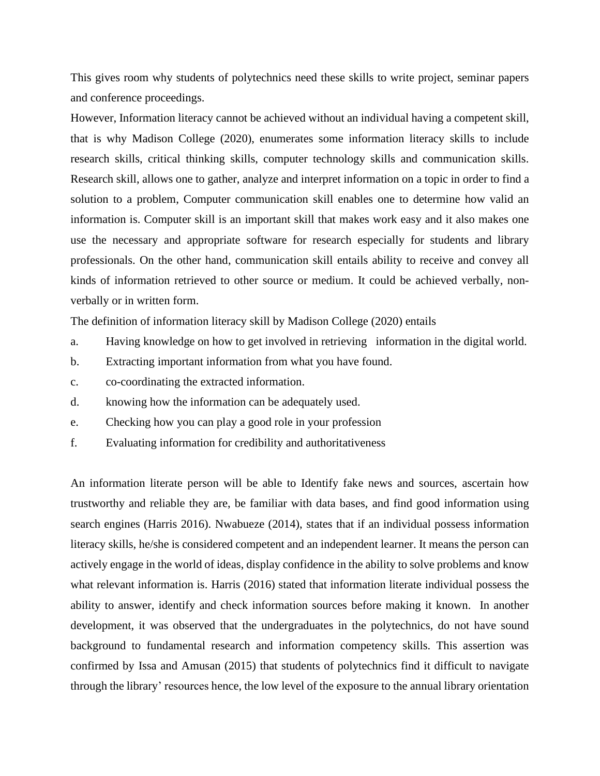This gives room why students of polytechnics need these skills to write project, seminar papers and conference proceedings.

However, Information literacy cannot be achieved without an individual having a competent skill, that is why Madison College (2020), enumerates some information literacy skills to include research skills, critical thinking skills, computer technology skills and communication skills. Research skill, allows one to gather, analyze and interpret information on a topic in order to find a solution to a problem, Computer communication skill enables one to determine how valid an information is. Computer skill is an important skill that makes work easy and it also makes one use the necessary and appropriate software for research especially for students and library professionals. On the other hand, communication skill entails ability to receive and convey all kinds of information retrieved to other source or medium. It could be achieved verbally, nonverbally or in written form.

The definition of information literacy skill by Madison College (2020) entails

- a. Having knowledge on how to get involved in retrieving information in the digital world.
- b. Extracting important information from what you have found.
- c. co-coordinating the extracted information.
- d. knowing how the information can be adequately used.
- e. Checking how you can play a good role in your profession
- f. Evaluating information for credibility and authoritativeness

An information literate person will be able to Identify fake news and sources, ascertain how trustworthy and reliable they are, be familiar with data bases, and find good information using search engines (Harris 2016). Nwabueze (2014), states that if an individual possess information literacy skills, he/she is considered competent and an independent learner. It means the person can actively engage in the world of ideas, display confidence in the ability to solve problems and know what relevant information is. Harris (2016) stated that information literate individual possess the ability to answer, identify and check information sources before making it known. In another development, it was observed that the undergraduates in the polytechnics, do not have sound background to fundamental research and information competency skills. This assertion was confirmed by Issa and Amusan (2015) that students of polytechnics find it difficult to navigate through the library' resources hence, the low level of the exposure to the annual library orientation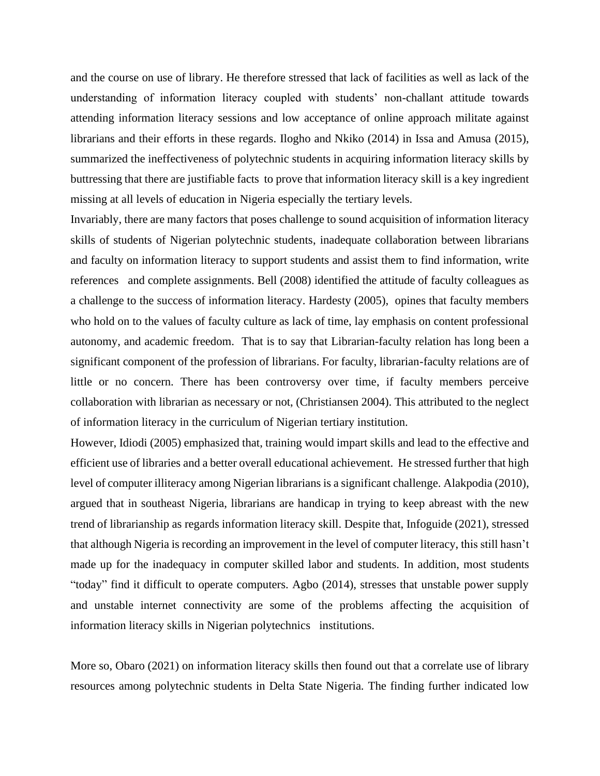and the course on use of library. He therefore stressed that lack of facilities as well as lack of the understanding of information literacy coupled with students' non-challant attitude towards attending information literacy sessions and low acceptance of online approach militate against librarians and their efforts in these regards. Ilogho and Nkiko (2014) in Issa and Amusa (2015), summarized the ineffectiveness of polytechnic students in acquiring information literacy skills by buttressing that there are justifiable facts to prove that information literacy skill is a key ingredient missing at all levels of education in Nigeria especially the tertiary levels.

Invariably, there are many factors that poses challenge to sound acquisition of information literacy skills of students of Nigerian polytechnic students, inadequate collaboration between librarians and faculty on information literacy to support students and assist them to find information, write references and complete assignments. Bell (2008) identified the attitude of faculty colleagues as a challenge to the success of information literacy. Hardesty (2005), opines that faculty members who hold on to the values of faculty culture as lack of time, lay emphasis on content professional autonomy, and academic freedom. That is to say that Librarian-faculty relation has long been a significant component of the profession of librarians. For faculty, librarian-faculty relations are of little or no concern. There has been controversy over time, if faculty members perceive collaboration with librarian as necessary or not, (Christiansen 2004). This attributed to the neglect of information literacy in the curriculum of Nigerian tertiary institution.

However, Idiodi (2005) emphasized that, training would impart skills and lead to the effective and efficient use of libraries and a better overall educational achievement. He stressed further that high level of computer illiteracy among Nigerian librarians is a significant challenge. Alakpodia (2010), argued that in southeast Nigeria, librarians are handicap in trying to keep abreast with the new trend of librarianship as regards information literacy skill. Despite that, Infoguide (2021), stressed that although Nigeria is recording an improvement in the level of computer literacy, this still hasn't made up for the inadequacy in computer skilled labor and students. In addition, most students "today" find it difficult to operate computers. Agbo (2014), stresses that unstable power supply and unstable internet connectivity are some of the problems affecting the acquisition of information literacy skills in Nigerian polytechnics institutions.

More so, Obaro (2021) on information literacy skills then found out that a correlate use of library resources among polytechnic students in Delta State Nigeria. The finding further indicated low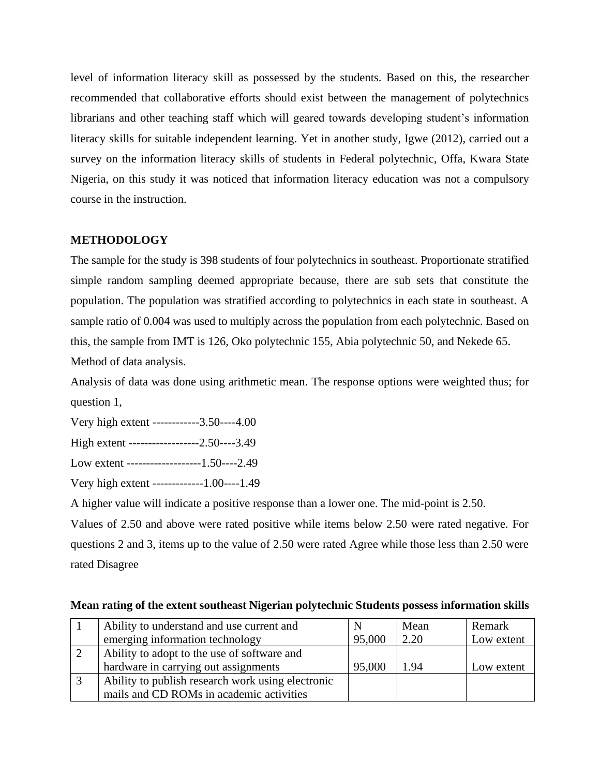level of information literacy skill as possessed by the students. Based on this, the researcher recommended that collaborative efforts should exist between the management of polytechnics librarians and other teaching staff which will geared towards developing student's information literacy skills for suitable independent learning. Yet in another study, Igwe (2012), carried out a survey on the information literacy skills of students in Federal polytechnic, Offa, Kwara State Nigeria, on this study it was noticed that information literacy education was not a compulsory course in the instruction.

### **METHODOLOGY**

The sample for the study is 398 students of four polytechnics in southeast. Proportionate stratified simple random sampling deemed appropriate because, there are sub sets that constitute the population. The population was stratified according to polytechnics in each state in southeast. A sample ratio of 0.004 was used to multiply across the population from each polytechnic. Based on this, the sample from IMT is 126, Oko polytechnic 155, Abia polytechnic 50, and Nekede 65. Method of data analysis.

Analysis of data was done using arithmetic mean. The response options were weighted thus; for question 1,

Very high extent ------------3.50----4.00

High extent ------------------2.50----3.49

Low extent -------------------1.50----2.49

Very high extent -------------1.00----1.49

A higher value will indicate a positive response than a lower one. The mid-point is 2.50.

Values of 2.50 and above were rated positive while items below 2.50 were rated negative. For questions 2 and 3, items up to the value of 2.50 were rated Agree while those less than 2.50 were rated Disagree

| Ability to understand and use current and         |        | Mean | Remark     |
|---------------------------------------------------|--------|------|------------|
| emerging information technology                   | 95,000 | 2.20 | Low extent |
| Ability to adopt to the use of software and       |        |      |            |
| hardware in carrying out assignments              | 95,000 | 1.94 | Low extent |
| Ability to publish research work using electronic |        |      |            |
| mails and CD ROMs in academic activities          |        |      |            |

### **Mean rating of the extent southeast Nigerian polytechnic Students possess information skills**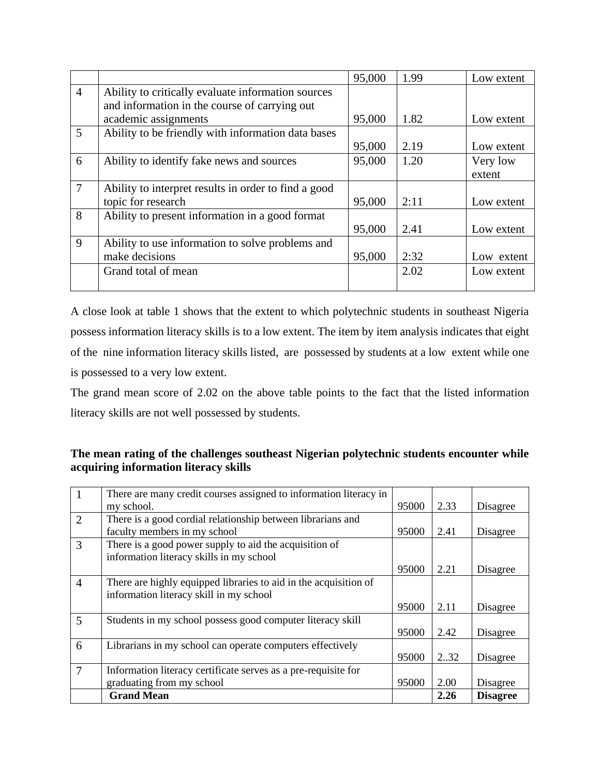|                |                                                      | 95,000 | 1.99 | Low extent |
|----------------|------------------------------------------------------|--------|------|------------|
| $\overline{4}$ | Ability to critically evaluate information sources   |        |      |            |
|                | and information in the course of carrying out        |        |      |            |
|                | academic assignments                                 | 95,000 | 1.82 | Low extent |
| 5              | Ability to be friendly with information data bases   |        |      |            |
|                |                                                      | 95,000 | 2.19 | Low extent |
| 6              | Ability to identify fake news and sources            | 95,000 | 1.20 | Very low   |
|                |                                                      |        |      | extent     |
| $\overline{7}$ | Ability to interpret results in order to find a good |        |      |            |
|                | topic for research                                   | 95,000 | 2:11 | Low extent |
| 8              | Ability to present information in a good format      |        |      |            |
|                |                                                      | 95,000 | 2.41 | Low extent |
| 9              | Ability to use information to solve problems and     |        |      |            |
|                | make decisions                                       | 95,000 | 2:32 | Low extent |
|                | Grand total of mean                                  |        | 2.02 | Low extent |
|                |                                                      |        |      |            |

A close look at table 1 shows that the extent to which polytechnic students in southeast Nigeria possess information literacy skills is to a low extent. The item by item analysis indicates that eight of the nine information literacy skills listed, are possessed by students at a low extent while one is possessed to a very low extent.

The grand mean score of 2.02 on the above table points to the fact that the listed information literacy skills are not well possessed by students.

## **The mean rating of the challenges southeast Nigerian polytechnic students encounter while acquiring information literacy skills**

|                | There are many credit courses assigned to information literacy in |       |      |                 |
|----------------|-------------------------------------------------------------------|-------|------|-----------------|
|                | my school.                                                        | 95000 | 2.33 | Disagree        |
| 2              | There is a good cordial relationship between librarians and       |       |      |                 |
|                | faculty members in my school                                      | 95000 | 2.41 | Disagree        |
| 3              | There is a good power supply to aid the acquisition of            |       |      |                 |
|                | information literacy skills in my school                          |       |      |                 |
|                |                                                                   | 95000 | 2.21 | Disagree        |
| $\overline{4}$ | There are highly equipped libraries to aid in the acquisition of  |       |      |                 |
|                | information literacy skill in my school                           |       |      |                 |
|                |                                                                   | 95000 | 2.11 | Disagree        |
| 5              | Students in my school possess good computer literacy skill        |       |      |                 |
|                |                                                                   | 95000 | 2.42 | Disagree        |
| 6              | Librarians in my school can operate computers effectively         |       |      |                 |
|                |                                                                   | 95000 | 2.32 | Disagree        |
| $\overline{7}$ | Information literacy certificate serves as a pre-requisite for    |       |      |                 |
|                | graduating from my school                                         | 95000 | 2.00 | Disagree        |
|                | <b>Grand Mean</b>                                                 |       | 2.26 | <b>Disagree</b> |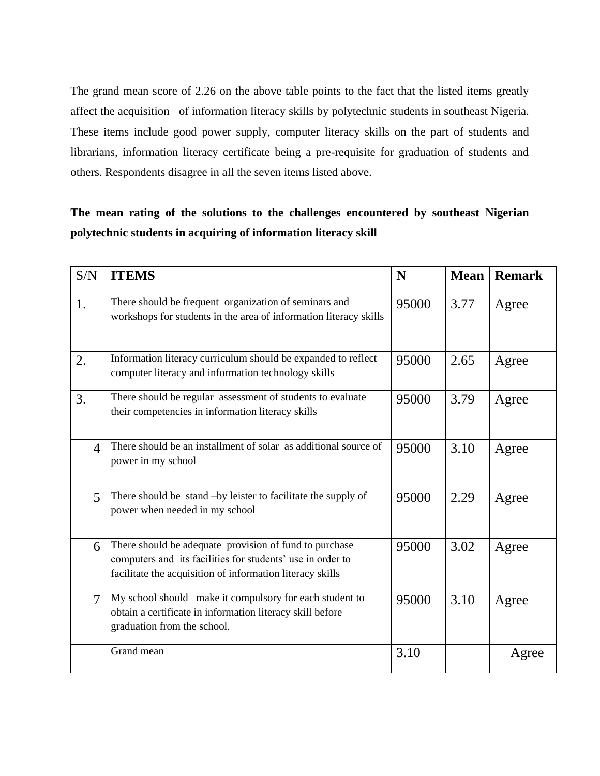The grand mean score of 2.26 on the above table points to the fact that the listed items greatly affect the acquisition of information literacy skills by polytechnic students in southeast Nigeria. These items include good power supply, computer literacy skills on the part of students and librarians, information literacy certificate being a pre-requisite for graduation of students and others. Respondents disagree in all the seven items listed above.

# **The mean rating of the solutions to the challenges encountered by southeast Nigerian polytechnic students in acquiring of information literacy skill**

| S/N            | <b>ITEMS</b>                                                                                                                                                                      | N     | <b>Mean</b> | <b>Remark</b> |
|----------------|-----------------------------------------------------------------------------------------------------------------------------------------------------------------------------------|-------|-------------|---------------|
| 1.             | There should be frequent organization of seminars and<br>workshops for students in the area of information literacy skills                                                        | 95000 | 3.77        | Agree         |
| 2.             | Information literacy curriculum should be expanded to reflect<br>computer literacy and information technology skills                                                              | 95000 | 2.65        | Agree         |
| 3.             | There should be regular assessment of students to evaluate<br>their competencies in information literacy skills                                                                   | 95000 | 3.79        | Agree         |
| $\overline{4}$ | There should be an installment of solar as additional source of<br>power in my school                                                                                             | 95000 | 3.10        | Agree         |
| 5              | There should be stand -by leister to facilitate the supply of<br>power when needed in my school                                                                                   | 95000 | 2.29        | Agree         |
| 6              | There should be adequate provision of fund to purchase<br>computers and its facilities for students' use in order to<br>facilitate the acquisition of information literacy skills | 95000 | 3.02        | Agree         |
| $\overline{7}$ | My school should make it compulsory for each student to<br>obtain a certificate in information literacy skill before<br>graduation from the school.                               | 95000 | 3.10        | Agree         |
|                | Grand mean                                                                                                                                                                        | 3.10  |             | Agree         |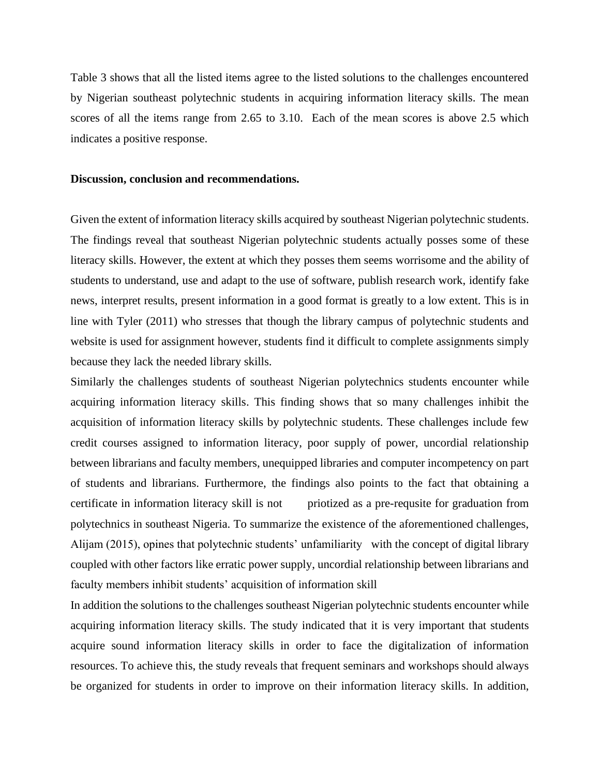Table 3 shows that all the listed items agree to the listed solutions to the challenges encountered by Nigerian southeast polytechnic students in acquiring information literacy skills. The mean scores of all the items range from 2.65 to 3.10. Each of the mean scores is above 2.5 which indicates a positive response.

#### **Discussion, conclusion and recommendations.**

Given the extent of information literacy skills acquired by southeast Nigerian polytechnic students. The findings reveal that southeast Nigerian polytechnic students actually posses some of these literacy skills. However, the extent at which they posses them seems worrisome and the ability of students to understand, use and adapt to the use of software, publish research work, identify fake news, interpret results, present information in a good format is greatly to a low extent. This is in line with Tyler (2011) who stresses that though the library campus of polytechnic students and website is used for assignment however, students find it difficult to complete assignments simply because they lack the needed library skills.

Similarly the challenges students of southeast Nigerian polytechnics students encounter while acquiring information literacy skills. This finding shows that so many challenges inhibit the acquisition of information literacy skills by polytechnic students. These challenges include few credit courses assigned to information literacy, poor supply of power, uncordial relationship between librarians and faculty members, unequipped libraries and computer incompetency on part of students and librarians. Furthermore, the findings also points to the fact that obtaining a certificate in information literacy skill is not priotized as a pre-requsite for graduation from polytechnics in southeast Nigeria. To summarize the existence of the aforementioned challenges, Alijam (2015), opines that polytechnic students' unfamiliarity with the concept of digital library coupled with other factors like erratic power supply, uncordial relationship between librarians and faculty members inhibit students' acquisition of information skill

In addition the solutions to the challenges southeast Nigerian polytechnic students encounter while acquiring information literacy skills. The study indicated that it is very important that students acquire sound information literacy skills in order to face the digitalization of information resources. To achieve this, the study reveals that frequent seminars and workshops should always be organized for students in order to improve on their information literacy skills. In addition,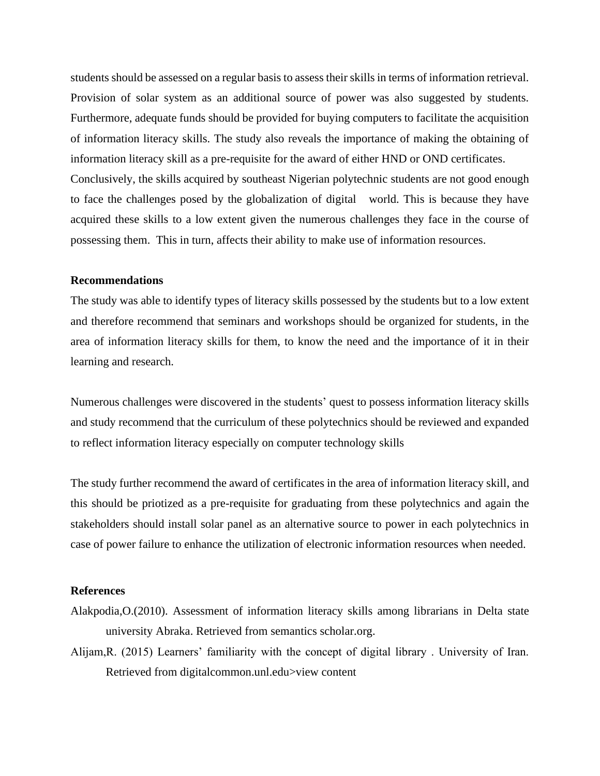students should be assessed on a regular basis to assess their skills in terms of information retrieval. Provision of solar system as an additional source of power was also suggested by students. Furthermore, adequate funds should be provided for buying computers to facilitate the acquisition of information literacy skills. The study also reveals the importance of making the obtaining of information literacy skill as a pre-requisite for the award of either HND or OND certificates. Conclusively, the skills acquired by southeast Nigerian polytechnic students are not good enough to face the challenges posed by the globalization of digital world. This is because they have acquired these skills to a low extent given the numerous challenges they face in the course of possessing them. This in turn, affects their ability to make use of information resources.

### **Recommendations**

The study was able to identify types of literacy skills possessed by the students but to a low extent and therefore recommend that seminars and workshops should be organized for students, in the area of information literacy skills for them, to know the need and the importance of it in their learning and research.

Numerous challenges were discovered in the students' quest to possess information literacy skills and study recommend that the curriculum of these polytechnics should be reviewed and expanded to reflect information literacy especially on computer technology skills

The study further recommend the award of certificates in the area of information literacy skill, and this should be priotized as a pre-requisite for graduating from these polytechnics and again the stakeholders should install solar panel as an alternative source to power in each polytechnics in case of power failure to enhance the utilization of electronic information resources when needed.

#### **References**

- Alakpodia,O.(2010). Assessment of information literacy skills among librarians in Delta state university Abraka. Retrieved from semantics scholar.org.
- Alijam,R. (2015) Learners' familiarity with the concept of digital library . University of Iran. Retrieved from digitalcommon.unl.edu>view content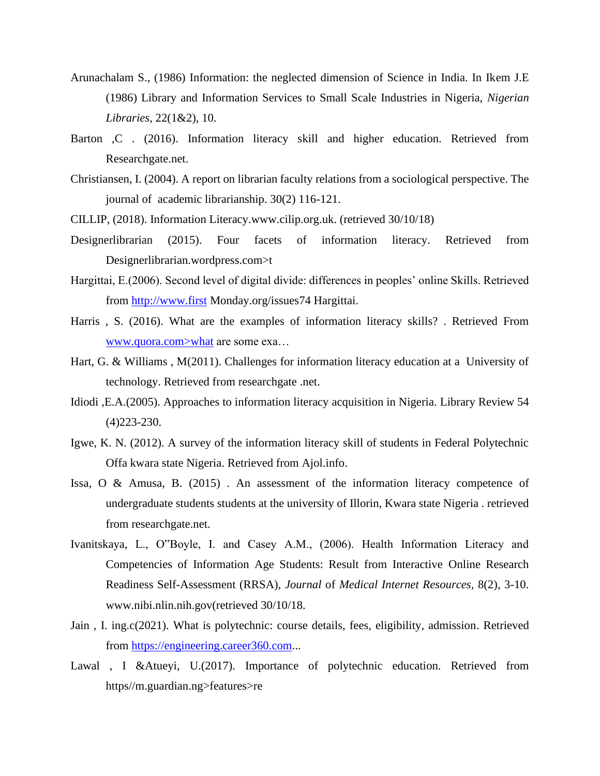- Arunachalam S., (1986) Information: the neglected dimension of Science in India. In Ikem J.E (1986) Library and Information Services to Small Scale Industries in Nigeria, *Nigerian Libraries,* 22(1&2), 10.
- Barton , C. (2016). Information literacy skill and higher education. Retrieved from Researchgate.net.
- Christiansen, I. (2004). A report on librarian faculty relations from a sociological perspective. The journal of academic librarianship. 30(2) 116-121.
- CILLIP, (2018). Information Literacy.www.cilip.org.uk. (retrieved 30/10/18)
- Designerlibrarian (2015). Four facets of information literacy. Retrieved from Designerlibrarian.wordpress.com>t
- Hargittai, E.(2006). Second level of digital divide: differences in peoples' online Skills. Retrieved from [http://www.first](http://www.first/) Monday.org/issues74 Hargittai.
- Harris , S. (2016). What are the examples of information literacy skills? . Retrieved From www.quora.com>what are some exa…
- Hart, G. & Williams , M(2011). Challenges for information literacy education at a University of technology. Retrieved from researchgate .net.
- Idiodi ,E.A.(2005). Approaches to information literacy acquisition in Nigeria. Library Review 54 (4)223-230.
- Igwe, K. N. (2012). A survey of the information literacy skill of students in Federal Polytechnic Offa kwara state Nigeria. Retrieved from Ajol.info.
- Issa, O & Amusa, B. (2015) . An assessment of the information literacy competence of undergraduate students students at the university of Illorin, Kwara state Nigeria . retrieved from researchgate.net.
- Ivanitskaya, L., O"Boyle, I. and Casey A.M., (2006). Health Information Literacy and Competencies of Information Age Students: Result from Interactive Online Research Readiness Self-Assessment (RRSA), *Journal* of *Medical Internet Resources,* 8(2), 3-10. www.nibi.nlin.nih.gov(retrieved 30/10/18.
- Jain , I. ing.c(2021). What is polytechnic: course details, fees, eligibility, admission. Retrieved from [https://engineering.career360.com.](https://engineering.career360.com/)..
- Lawal , I &Atueyi, U.(2017). Importance of polytechnic education. Retrieved from https//m.guardian.ng>features>re